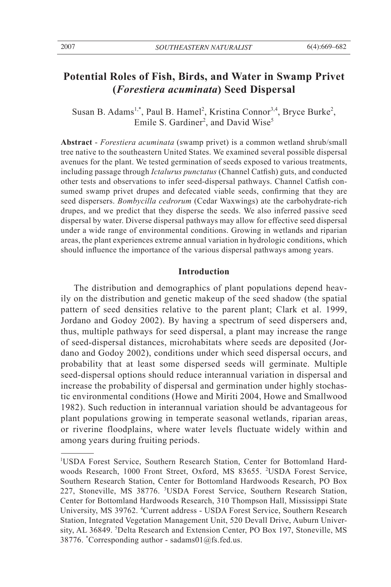# **Potential Roles of Fish, Birds, and Water in Swamp Privet (***Forestiera acuminata***) Seed Dispersal**

Susan B. Adams<sup>1,\*</sup>, Paul B. Hamel<sup>2</sup>, Kristina Connor<sup>3,4</sup>, Bryce Burke<sup>2</sup>, Emile S. Gardiner<sup>2</sup>, and David Wise<sup>5</sup>

**Abstract** - *Forestiera acuminata* (swamp privet) is a common wetland shrub/small tree native to the southeastern United States. We examined several possible dispersal avenues for the plant. We tested germination of seeds exposed to various treatments, including passage through *Ictalurus punctatus* (Channel Catfish) guts, and conducted other tests and observations to infer seed-dispersal pathways. Channel Catfish consumed swamp privet drupes and defecated viable seeds, confirming that they are seed dispersers. *Bombycilla cedrorum* (Cedar Waxwings) ate the carbohydrate-rich drupes, and we predict that they disperse the seeds. We also inferred passive seed dispersal by water. Diverse dispersal pathways may allow for effective seed dispersal under a wide range of environmental conditions. Growing in wetlands and riparian areas, the plant experiences extreme annual variation in hydrologic conditions, which should influence the importance of the various dispersal pathways among years.

#### **Introduction**

 The distribution and demographics of plant populations depend heavily on the distribution and genetic makeup of the seed shadow (the spatial pattern of seed densities relative to the parent plant; Clark et al. 1999, Jordano and Godoy 2002). By having a spectrum of seed dispersers and, thus, multiple pathways for seed dispersal, a plant may increase the range of seed-dispersal distances, microhabitats where seeds are deposited (Jordano and Godoy 2002), conditions under which seed dispersal occurs, and probability that at least some dispersed seeds will germinate. Multiple seed-dispersal options should reduce interannual variation in dispersal and increase the probability of dispersal and germination under highly stochastic environmental conditions (Howe and Miriti 2004, Howe and Smallwood 1982). Such reduction in interannual variation should be advantageous for plant populations growing in temperate seasonal wetlands, riparian areas, or riverine floodplains, where water levels fluctuate widely within and among years during fruiting periods.

<sup>&</sup>lt;sup>1</sup>USDA Forest Service, Southern Research Station, Center for Bottomland Hardwoods Research, 1000 Front Street, Oxford, MS 83655. <sup>2</sup>USDA Forest Service, Southern Research Station, Center for Bottomland Hardwoods Research, PO Box 227, Stoneville, MS 38776. <sup>3</sup>USDA Forest Service, Southern Research Station, Center for Bottomland Hardwoods Research, 310 Thompson Hall, Mississippi State University, MS 39762. 4 Current address - USDA Forest Service, Southern Research Station, Integrated Vegetation Management Unit, 520 Devall Drive, Auburn University, AL 36849. <sup>5</sup>Delta Research and Extension Center, PO Box 197, Stoneville, MS 38776. \* Corresponding author - sadams01@fs.fed.us.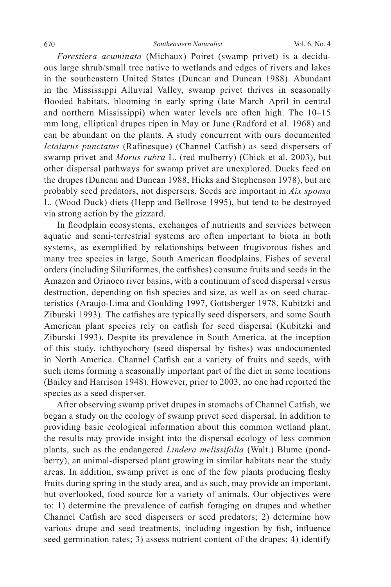*Forestiera acuminata* (Michaux) Poiret (swamp privet) is a deciduous large shrub/small tree native to wetlands and edges of rivers and lakes in the southeastern United States (Duncan and Duncan 1988). Abundant in the Mississippi Alluvial Valley, swamp privet thrives in seasonally flooded habitats, blooming in early spring (late March–April in central and northern Mississippi) when water levels are often high. The 10–15 mm long, elliptical drupes ripen in May or June (Radford et al. 1968) and can be abundant on the plants. A study concurrent with ours documented *Ictalurus punctatus* (Rafinesque) (Channel Catfish) as seed dispersers of swamp privet and *Morus rubra* L. (red mulberry) (Chick et al. 2003), but other dispersal pathways for swamp privet are unexplored. Ducks feed on the drupes (Duncan and Duncan 1988, Hicks and Stephenson 1978), but are probably seed predators, not dispersers. Seeds are important in *Aix sponsa*  L. (Wood Duck) diets (Hepp and Bellrose 1995), but tend to be destroyed via strong action by the gizzard.

In floodplain ecosystems, exchanges of nutrients and services between aquatic and semi-terrestrial systems are often important to biota in both systems, as exemplified by relationships between frugivorous fishes and many tree species in large, South American floodplains. Fishes of several orders (including Siluriformes, the catfishes) consume fruits and seeds in the Amazon and Orinoco river basins, with a continuum of seed dispersal versus destruction, depending on fish species and size, as well as on seed characteristics (Araujo-Lima and Goulding 1997, Gottsberger 1978, Kubitzki and Ziburski 1993). The catfishes are typically seed dispersers, and some South American plant species rely on catfish for seed dispersal (Kubitzki and Ziburski 1993). Despite its prevalence in South America, at the inception of this study, ichthyochory (seed dispersal by fishes) was undocumented in North America. Channel Catfish eat a variety of fruits and seeds, with such items forming a seasonally important part of the diet in some locations (Bailey and Harrison 1948). However, prior to 2003, no one had reported the species as a seed disperser.

After observing swamp privet drupes in stomachs of Channel Catfish, we began a study on the ecology of swamp privet seed dispersal. In addition to providing basic ecological information about this common wetland plant, the results may provide insight into the dispersal ecology of less common plants, such as the endangered *Lindera melissifolia* (Walt.) Blume (pondberry), an animal-dispersed plant growing in similar habitats near the study areas. In addition, swamp privet is one of the few plants producing fleshy fruits during spring in the study area, and as such, may provide an important, but overlooked, food source for a variety of animals. Our objectives were to: 1) determine the prevalence of catfish foraging on drupes and whether Channel Catfish are seed dispersers or seed predators; 2) determine how various drupe and seed treatments, including ingestion by fish, influence seed germination rates; 3) assess nutrient content of the drupes; 4) identify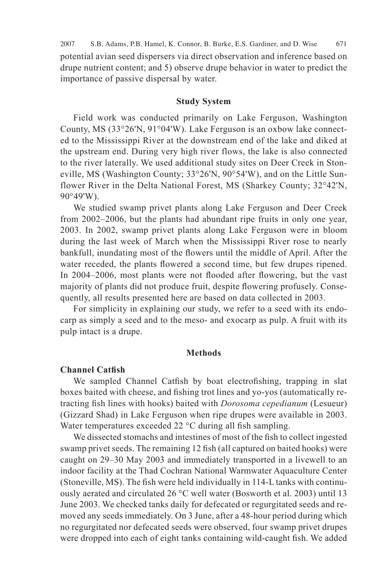2007 S.B. Adams, P.B. Hamel, K. Connor, B. Burke, E.S. Gardiner, and D. Wise 671 potential avian seed dispersers via direct observation and inference based on drupe nutrient content; and 5) observe drupe behavior in water to predict the importance of passive dispersal by water.

#### **Study System**

 Field work was conducted primarily on Lake Ferguson, Washington County, MS (33°26'N, 91°04'W). Lake Ferguson is an oxbow lake connected to the Mississippi River at the downstream end of the lake and diked at the upstream end. During very high river flows, the lake is also connected to the river laterally. We used additional study sites on Deer Creek in Stoneville, MS (Washington County; 33°26'N, 90°54'W), and on the Little Sunflower River in the Delta National Forest, MS (Sharkey County; 32°42'N, 90°49'W).

 We studied swamp privet plants along Lake Ferguson and Deer Creek from 2002–2006, but the plants had abundant ripe fruits in only one year, 2003. In 2002, swamp privet plants along Lake Ferguson were in bloom during the last week of March when the Mississippi River rose to nearly bankfull, inundating most of the flowers until the middle of April. After the water receded, the plants flowered a second time, but few drupes ripened. In 2004–2006, most plants were not flooded after flowering, but the vast majority of plants did not produce fruit, despite flowering profusely. Consequently, all results presented here are based on data collected in 2003.

 For simplicity in explaining our study, we refer to a seed with its endocarp as simply a seed and to the meso- and exocarp as pulp. A fruit with its pulp intact is a drupe.

### **Methods**

#### **Channel Catfish**

We sampled Channel Catfish by boat electrofishing, trapping in slat boxes baited with cheese, and fishing trot lines and yo-yos (automatically retracting fish lines with hooks) baited with *Dorosoma cepedianum* (Lesueur) (Gizzard Shad) in Lake Ferguson when ripe drupes were available in 2003. Water temperatures exceeded  $22^{\circ}$ C during all fish sampling.

We dissected stomachs and intestines of most of the fish to collect ingested swamp privet seeds. The remaining 12 fish (all captured on baited hooks) were caught on 29–30 May 2003 and immediately transported in a livewell to an indoor facility at the Thad Cochran National Warmwater Aquaculture Center (Stoneville, MS). The fish were held individually in 114-L tanks with continuously aerated and circulated 26 °C well water (Bosworth et al. 2003) until 13 June 2003. We checked tanks daily for defecated or regurgitated seeds and removed any seeds immediately. On 3 June, after a 48-hour period during which no regurgitated nor defecated seeds were observed, four swamp privet drupes were dropped into each of eight tanks containing wild-caught fish. We added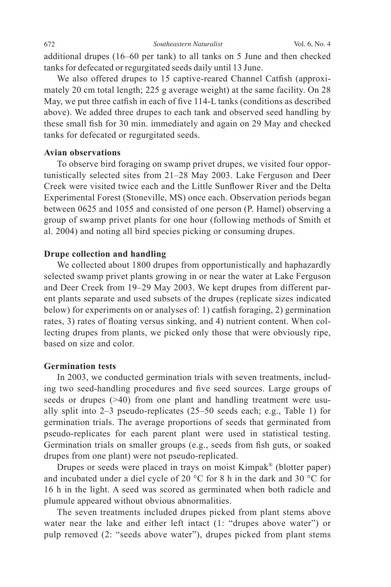additional drupes (16–60 per tank) to all tanks on 5 June and then checked tanks for defecated or regurgitated seeds daily until 13 June.

We also offered drupes to 15 captive-reared Channel Catfish (approximately 20 cm total length; 225 g average weight) at the same facility. On 28 May, we put three catfish in each of five 114-L tanks (conditions as described above). We added three drupes to each tank and observed seed handling by these small fish for 30 min. immediately and again on 29 May and checked tanks for defecated or regurgitated seeds.

# **Avian observations**

 To observe bird foraging on swamp privet drupes, we visited four opportunistically selected sites from 21–28 May 2003. Lake Ferguson and Deer Creek were visited twice each and the Little Sunflower River and the Delta Experimental Forest (Stoneville, MS) once each. Observation periods began between 0625 and 1055 and consisted of one person (P. Hamel) observing a group of swamp privet plants for one hour (following methods of Smith et al. 2004) and noting all bird species picking or consuming drupes.

### **Drupe collection and handling**

 We collected about 1800 drupes from opportunistically and haphazardly selected swamp privet plants growing in or near the water at Lake Ferguson and Deer Creek from 19–29 May 2003. We kept drupes from different parent plants separate and used subsets of the drupes (replicate sizes indicated below) for experiments on or analyses of: 1) catfish foraging, 2) germination rates, 3) rates of floating versus sinking, and 4) nutrient content. When collecting drupes from plants, we picked only those that were obviously ripe, based on size and color.

# **Germination tests**

 In 2003, we conducted germination trials with seven treatments, including two seed-handling procedures and five seed sources. Large groups of seeds or drupes (>40) from one plant and handling treatment were usually split into 2–3 pseudo-replicates (25–50 seeds each; e.g., Table 1) for germination trials. The average proportions of seeds that germinated from pseudo-replicates for each parent plant were used in statistical testing. Germination trials on smaller groups (e.g., seeds from fish guts, or soaked drupes from one plant) were not pseudo-replicated.

 Drupes or seeds were placed in trays on moist Kimpak® (blotter paper) and incubated under a diel cycle of 20  $\degree$ C for 8 h in the dark and 30  $\degree$ C for 16 h in the light. A seed was scored as germinated when both radicle and plumule appeared without obvious abnormalities.

 The seven treatments included drupes picked from plant stems above water near the lake and either left intact (1: "drupes above water") or pulp removed (2: "seeds above water"), drupes picked from plant stems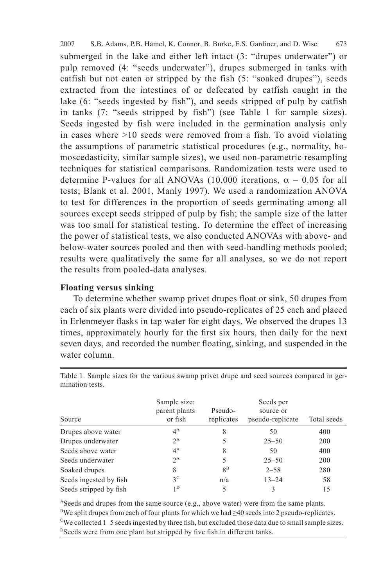2007 S.B. Adams, P.B. Hamel, K. Connor, B. Burke, E.S. Gardiner, and D. Wise 673 submerged in the lake and either left intact (3: "drupes underwater") or pulp removed (4: "seeds underwater"), drupes submerged in tanks with catfish but not eaten or stripped by the fish (5: "soaked drupes"), seeds extracted from the intestines of or defecated by catfish caught in the lake (6: "seeds ingested by fish"), and seeds stripped of pulp by catfish in tanks (7: "seeds stripped by fish") (see Table 1 for sample sizes). Seeds ingested by fish were included in the germination analysis only in cases where >10 seeds were removed from a fish. To avoid violating the assumptions of parametric statistical procedures (e.g., normality, homoscedasticity, similar sample sizes), we used non-parametric resampling techniques for statistical comparisons. Randomization tests were used to determine P-values for all ANOVAs (10,000 iterations,  $\alpha = 0.05$  for all tests; Blank et al. 2001, Manly 1997). We used a randomization ANOVA to test for differences in the proportion of seeds germinating among all sources except seeds stripped of pulp by fish; the sample size of the latter was too small for statistical testing. To determine the effect of increasing the power of statistical tests, we also conducted ANOVAs with above- and below-water sources pooled and then with seed-handling methods pooled; results were qualitatively the same for all analyses, so we do not report the results from pooled-data analyses.

# **Floating versus sinking**

To determine whether swamp privet drupes float or sink, 50 drupes from each of six plants were divided into pseudo-replicates of 25 each and placed in Erlenmeyer flasks in tap water for eight days. We observed the drupes 13 times, approximately hourly for the first six hours, then daily for the next seven days, and recorded the number floating, sinking, and suspended in the water column.

| Source                 | Sample size:<br>parent plants<br>or fish | Pseudo-<br>replicates | Seeds per<br>source or<br>pseudo-replicate | Total seeds |
|------------------------|------------------------------------------|-----------------------|--------------------------------------------|-------------|
| Drupes above water     | $4^{\rm A}$                              | 8                     | 50                                         | 400         |
| Drupes underwater      | $2^{\text{A}}$                           |                       | $25 - 50$                                  | 200         |
| Seeds above water      | $4^{\rm A}$                              | 8                     | 50                                         | 400         |
| Seeds underwater       | $2^{\rm A}$                              |                       | $25 - 50$                                  | 200         |
| Soaked drupes          | 8                                        | $8^B$                 | $2 - 58$                                   | 280         |
| Seeds ingested by fish | $3^{\circ}$                              | n/a                   | $13 - 24$                                  | 58          |
| Seeds stripped by fish | 1 <sub>D</sub>                           |                       |                                            | 15          |

Table 1. Sample sizes for the various swamp privet drupe and seed sources compared in germination tests.

<sup>A</sup>Seeds and drupes from the same source (e.g., above water) were from the same plants. BWe split drupes from each of four plants for which we had  $\geq 40$  seeds into 2 pseudo-replicates.  $\degree$ We collected 1–5 seeds ingested by three fish, but excluded those data due to small sample sizes. <sup>D</sup>Seeds were from one plant but stripped by five fish in different tanks.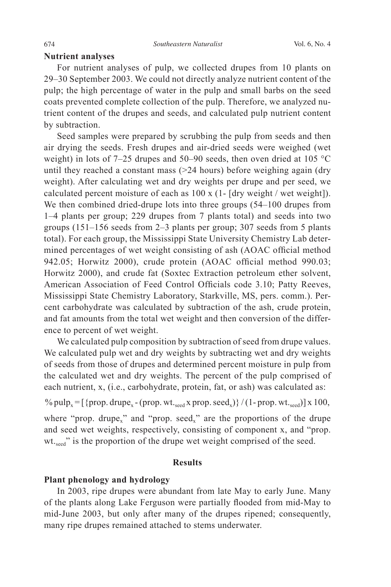#### 674 *Southeastern Naturalist* Vol. 6, No. 4

## **Nutrient analyses**

 For nutrient analyses of pulp, we collected drupes from 10 plants on 29–30 September 2003. We could not directly analyze nutrient content of the pulp; the high percentage of water in the pulp and small barbs on the seed coats prevented complete collection of the pulp. Therefore, we analyzed nutrient content of the drupes and seeds, and calculated pulp nutrient content by subtraction.

 Seed samples were prepared by scrubbing the pulp from seeds and then air drying the seeds. Fresh drupes and air-dried seeds were weighed (wet weight) in lots of 7–25 drupes and 50–90 seeds, then oven dried at 105 °C until they reached a constant mass (>24 hours) before weighing again (dry weight). After calculating wet and dry weights per drupe and per seed, we calculated percent moisture of each as 100 x (1- [dry weight / wet weight]). We then combined dried-drupe lots into three groups (54–100 drupes from 1–4 plants per group; 229 drupes from 7 plants total) and seeds into two groups (151–156 seeds from 2–3 plants per group; 307 seeds from 5 plants total). For each group, the Mississippi State University Chemistry Lab determined percentages of wet weight consisting of ash (AOAC official method 942.05; Horwitz 2000), crude protein  $(AOAC)$  official method 990.03; Horwitz 2000), and crude fat (Soxtec Extraction petroleum ether solvent, American Association of Feed Control Officials code 3.10; Patty Reeves, Mississippi State Chemistry Laboratory, Starkville, MS, pers. comm.). Percent carbohydrate was calculated by subtraction of the ash, crude protein, and fat amounts from the total wet weight and then conversion of the difference to percent of wet weight.

 We calculated pulp composition by subtraction of seed from drupe values. We calculated pulp wet and dry weights by subtracting wet and dry weights of seeds from those of drupes and determined percent moisture in pulp from the calculated wet and dry weights. The percent of the pulp comprised of each nutrient, x, (i.e., carbohydrate, protein, fat, or ash) was calculated as:

% pulp<sub>x</sub> =  $[\text{prop.} \text{drupe}_x - \text{prop.} \text{wt}_x]$  x prop. seed<sub>x</sub>) / (1- prop. wt. seed) x 100, where "prop. drupe<sub>x</sub>" and "prop. seed<sub>x</sub>" are the proportions of the drupe and seed wet weights, respectively, consisting of component x, and "prop. wt.<sub>seed</sub>" is the proportion of the drupe wet weight comprised of the seed.

#### **Results**

### **Plant phenology and hydrology**

 In 2003, ripe drupes were abundant from late May to early June. Many of the plants along Lake Ferguson were partially flooded from mid-May to mid-June 2003, but only after many of the drupes ripened; consequently, many ripe drupes remained attached to stems underwater.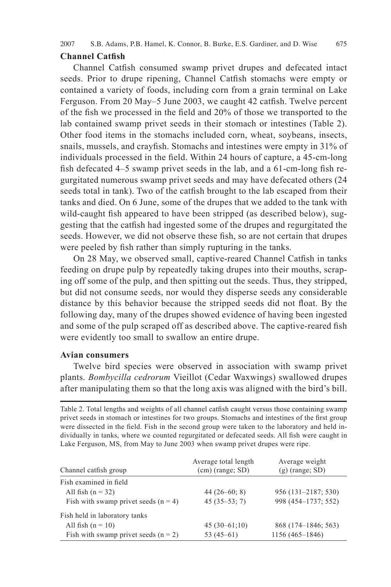2007 S.B. Adams, P.B. Hamel, K. Connor, B. Burke, E.S. Gardiner, and D. Wise 675

#### **Channel Catfish**

Channel Catfish consumed swamp privet drupes and defecated intact seeds. Prior to drupe ripening, Channel Catfish stomachs were empty or contained a variety of foods, including corn from a grain terminal on Lake Ferguson. From 20 May–5 June 2003, we caught 42 catfish. Twelve percent of the fish we processed in the field and  $20\%$  of those we transported to the lab contained swamp privet seeds in their stomach or intestines (Table 2). Other food items in the stomachs included corn, wheat, soybeans, insects, snails, mussels, and crayfish. Stomachs and intestines were empty in 31% of individuals processed in the field. Within 24 hours of capture, a 45-cm-long fish defecated  $4-5$  swamp privet seeds in the lab, and a  $61$ -cm-long fish regurgitated numerous swamp privet seeds and may have defecated others (24 seeds total in tank). Two of the catfish brought to the lab escaped from their tanks and died. On 6 June, some of the drupes that we added to the tank with wild-caught fish appeared to have been stripped (as described below), suggesting that the catfish had ingested some of the drupes and regurgitated the seeds. However, we did not observe these fish, so are not certain that drupes were peeled by fish rather than simply rupturing in the tanks.

On 28 May, we observed small, captive-reared Channel Catfish in tanks feeding on drupe pulp by repeatedly taking drupes into their mouths, scraping off some of the pulp, and then spitting out the seeds. Thus, they stripped, but did not consume seeds, nor would they disperse seeds any considerable distance by this behavior because the stripped seeds did not float. By the following day, many of the drupes showed evidence of having been ingested and some of the pulp scraped off as described above. The captive-reared fish were evidently too small to swallow an entire drupe.

# **Avian consumers**

 Twelve bird species were observed in association with swamp privet plants. *Bombycilla cedrorum* Vieillot (Cedar Waxwings) swallowed drupes after manipulating them so that the long axis was aligned with the bird's bill.

Table 2. Total lengths and weights of all channel catfish caught versus those containing swamp privet seeds in stomach or intestines for two groups. Stomachs and intestines of the first group were dissected in the field. Fish in the second group were taken to the laboratory and held individually in tanks, where we counted regurgitated or defecated seeds. All fish were caught in Lake Ferguson, MS, from May to June 2003 when swamp privet drupes were ripe.

| Channel catfish group                  | Average total length<br>$(cm)$ (range; SD) | Average weight<br>$(g)$ (range; SD) |
|----------------------------------------|--------------------------------------------|-------------------------------------|
| Fish examined in field                 |                                            |                                     |
| All fish $(n = 32)$                    | 44 $(26-60; 8)$                            | 956 (131-2187; 530)                 |
| Fish with swamp privet seeds $(n = 4)$ | $45(35-53; 7)$                             | 998 (454-1737; 552)                 |
| Fish held in laboratory tanks          |                                            |                                     |
| All fish $(n = 10)$                    | $45(30-61;10)$                             | 868 (174–1846; 563)                 |
| Fish with swamp privet seeds $(n = 2)$ | 53 $(45-61)$                               | $1156(465 - 1846)$                  |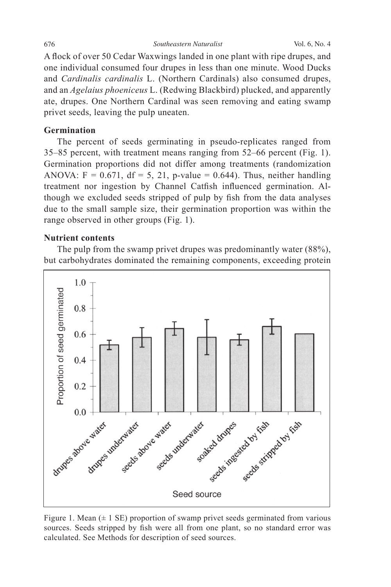A flock of over 50 Cedar Waxwings landed in one plant with ripe drupes, and one individual consumed four drupes in less than one minute. Wood Ducks and *Cardinalis cardinalis* L. (Northern Cardinals) also consumed drupes, and an *Agelaius phoeniceus* L. (Redwing Blackbird) plucked, and apparently ate, drupes. One Northern Cardinal was seen removing and eating swamp privet seeds, leaving the pulp uneaten.

## **Germination**

 The percent of seeds germinating in pseudo-replicates ranged from 35–85 percent, with treatment means ranging from 52–66 percent (Fig. 1). Germination proportions did not differ among treatments (randomization ANOVA:  $F = 0.671$ ,  $df = 5$ , 21, p-value = 0.644). Thus, neither handling treatment nor ingestion by Channel Catfish influenced germination. Although we excluded seeds stripped of pulp by fish from the data analyses due to the small sample size, their germination proportion was within the range observed in other groups (Fig. 1).

### **Nutrient contents**

 The pulp from the swamp privet drupes was predominantly water (88%), but carbohydrates dominated the remaining components, exceeding protein



Figure 1. Mean  $(\pm 1 \text{ SE})$  proportion of swamp privet seeds germinated from various sources. Seeds stripped by fish were all from one plant, so no standard error was calculated. See Methods for description of seed sources.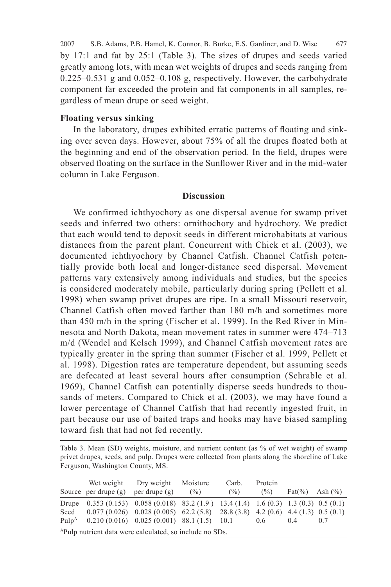2007 S.B. Adams, P.B. Hamel, K. Connor, B. Burke, E.S. Gardiner, and D. Wise 677 by 17:1 and fat by 25:1 (Table 3). The sizes of drupes and seeds varied greatly among lots, with mean wet weights of drupes and seeds ranging from 0.225–0.531 g and 0.052–0.108 g, respectively. However, the carbohydrate component far exceeded the protein and fat components in all samples, regardless of mean drupe or seed weight.

### **Floating versus sinking**

In the laboratory, drupes exhibited erratic patterns of floating and sinking over seven days. However, about 75% of all the drupes floated both at the beginning and end of the observation period. In the field, drupes were observed floating on the surface in the Sunflower River and in the mid-water column in Lake Ferguson.

### **Discussion**

 We confirmed ichthyochory as one dispersal avenue for swamp privet seeds and inferred two others: ornithochory and hydrochory. We predict that each would tend to deposit seeds in different microhabitats at various distances from the parent plant. Concurrent with Chick et al. (2003), we documented ichthyochory by Channel Catfish. Channel Catfish potentially provide both local and longer-distance seed dispersal. Movement patterns vary extensively among individuals and studies, but the species is considered moderately mobile, particularly during spring (Pellett et al. 1998) when swamp privet drupes are ripe. In a small Missouri reservoir, Channel Catfish often moved farther than 180 m/h and sometimes more than 450 m/h in the spring (Fischer et al. 1999). In the Red River in Minnesota and North Dakota, mean movement rates in summer were 474–713 m/d (Wendel and Kelsch 1999), and Channel Catfish movement rates are typically greater in the spring than summer (Fischer et al. 1999, Pellett et al. 1998). Digestion rates are temperature dependent, but assuming seeds are defecated at least several hours after consumption (Schrable et al. 1969), Channel Catfish can potentially disperse seeds hundreds to thousands of meters. Compared to Chick et al. (2003), we may have found a lower percentage of Channel Catfish that had recently ingested fruit, in part because our use of baited traps and hooks may have biased sampling toward fish that had not fed recently.

Table 3. Mean (SD) weights, moisture, and nutrient content (as % of wet weight) of swamp privet drupes, seeds, and pulp. Drupes were collected from plants along the shoreline of Lake Ferguson, Washington County, MS.

|                                                                     |                                                                                              | Wet weight Dry weight | Moisture | Carb.   | Protein |                             |  |  |  |
|---------------------------------------------------------------------|----------------------------------------------------------------------------------------------|-----------------------|----------|---------|---------|-----------------------------|--|--|--|
|                                                                     | Source per drupe $(g)$ per drupe $(g)$                                                       |                       | $($ %)   | $(\% )$ | $($ %)  | $\text{Fat}(\%)$ Ash $(\%)$ |  |  |  |
|                                                                     | Drupe $0.353(0.153)$ $0.058(0.018)$ $83.2(1.9)$ $13.4(1.4)$ $1.6(0.3)$ $1.3(0.3)$ $0.5(0.1)$ |                       |          |         |         |                             |  |  |  |
|                                                                     | Seed $0.077(0.026)$ $0.028(0.005)$ $62.2(5.8)$ $28.8(3.8)$ $4.2(0.6)$ $4.4(1.3)$ $0.5(0.1)$  |                       |          |         |         |                             |  |  |  |
|                                                                     | Pulp <sup>A</sup> $0.210(0.016)$ $0.025(0.001)$ 88.1 (1.5) 10.1                              |                       |          |         | 0.6     | (14)                        |  |  |  |
| <sup>A</sup> Pulp nutrient data were calculated, so include no SDs. |                                                                                              |                       |          |         |         |                             |  |  |  |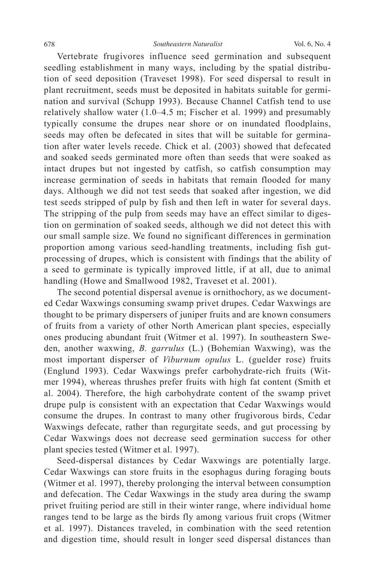Vertebrate frugivores influence seed germination and subsequent seedling establishment in many ways, including by the spatial distribution of seed deposition (Traveset 1998). For seed dispersal to result in plant recruitment, seeds must be deposited in habitats suitable for germination and survival (Schupp 1993). Because Channel Catfish tend to use relatively shallow water (1.0–4.5 m; Fischer et al. 1999) and presumably typically consume the drupes near shore or on inundated floodplains, seeds may often be defecated in sites that will be suitable for germination after water levels recede. Chick et al. (2003) showed that defecated and soaked seeds germinated more often than seeds that were soaked as intact drupes but not ingested by catfish, so catfish consumption may increase germination of seeds in habitats that remain flooded for many days. Although we did not test seeds that soaked after ingestion, we did test seeds stripped of pulp by fish and then left in water for several days. The stripping of the pulp from seeds may have an effect similar to digestion on germination of soaked seeds, although we did not detect this with our small sample size. We found no significant differences in germination proportion among various seed-handling treatments, including fish gutprocessing of drupes, which is consistent with findings that the ability of a seed to germinate is typically improved little, if at all, due to animal handling (Howe and Smallwood 1982, Traveset et al. 2001).

 The second potential dispersal avenue is ornithochory, as we documented Cedar Waxwings consuming swamp privet drupes. Cedar Waxwings are thought to be primary dispersers of juniper fruits and are known consumers of fruits from a variety of other North American plant species, especially ones producing abundant fruit (Witmer et al. 1997). In southeastern Sweden, another waxwing, *B. garrulus* (L.) (Bohemian Waxwing), was the most important disperser of *Viburnum opulus* L. (guelder rose) fruits (Englund 1993). Cedar Waxwings prefer carbohydrate-rich fruits (Witmer 1994), whereas thrushes prefer fruits with high fat content (Smith et al. 2004). Therefore, the high carbohydrate content of the swamp privet drupe pulp is consistent with an expectation that Cedar Waxwings would consume the drupes. In contrast to many other frugivorous birds, Cedar Waxwings defecate, rather than regurgitate seeds, and gut processing by Cedar Waxwings does not decrease seed germination success for other plant species tested (Witmer et al. 1997).

 Seed-dispersal distances by Cedar Waxwings are potentially large. Cedar Waxwings can store fruits in the esophagus during foraging bouts (Witmer et al. 1997), thereby prolonging the interval between consumption and defecation. The Cedar Waxwings in the study area during the swamp privet fruiting period are still in their winter range, where individual home ranges tend to be large as the birds fly among various fruit crops (Witmer et al. 1997). Distances traveled, in combination with the seed retention and digestion time, should result in longer seed dispersal distances than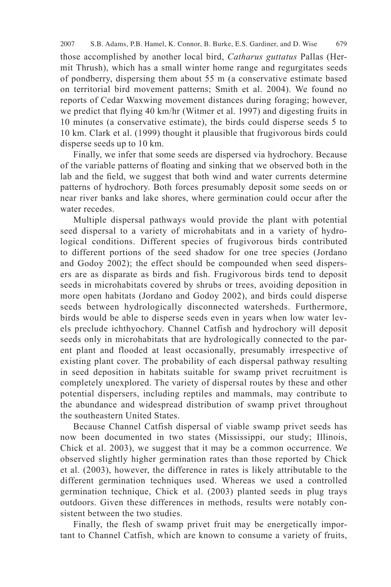those accomplished by another local bird, *Catharus guttatus* Pallas (Hermit Thrush), which has a small winter home range and regurgitates seeds of pondberry, dispersing them about 55 m (a conservative estimate based on territorial bird movement patterns; Smith et al. 2004). We found no reports of Cedar Waxwing movement distances during foraging; however, we predict that flying 40 km/hr (Witmer et al. 1997) and digesting fruits in 10 minutes (a conservative estimate), the birds could disperse seeds 5 to 10 km. Clark et al. (1999) thought it plausible that frugivorous birds could disperse seeds up to 10 km.

 Finally, we infer that some seeds are dispersed via hydrochory. Because of the variable patterns of floating and sinking that we observed both in the lab and the field, we suggest that both wind and water currents determine patterns of hydrochory. Both forces presumably deposit some seeds on or near river banks and lake shores, where germination could occur after the water recedes.

 Multiple dispersal pathways would provide the plant with potential seed dispersal to a variety of microhabitats and in a variety of hydrological conditions. Different species of frugivorous birds contributed to different portions of the seed shadow for one tree species (Jordano and Godoy 2002); the effect should be compounded when seed dispersers are as disparate as birds and fish. Frugivorous birds tend to deposit seeds in microhabitats covered by shrubs or trees, avoiding deposition in more open habitats (Jordano and Godoy 2002), and birds could disperse seeds between hydrologically disconnected watersheds. Furthermore, birds would be able to disperse seeds even in years when low water levels preclude ichthyochory. Channel Catfish and hydrochory will deposit seeds only in microhabitats that are hydrologically connected to the parent plant and flooded at least occasionally, presumably irrespective of existing plant cover. The probability of each dispersal pathway resulting in seed deposition in habitats suitable for swamp privet recruitment is completely unexplored. The variety of dispersal routes by these and other potential dispersers, including reptiles and mammals, may contribute to the abundance and widespread distribution of swamp privet throughout the southeastern United States.

 Because Channel Catfish dispersal of viable swamp privet seeds has now been documented in two states (Mississippi, our study; Illinois, Chick et al. 2003), we suggest that it may be a common occurrence. We observed slightly higher germination rates than those reported by Chick et al. (2003), however, the difference in rates is likely attributable to the different germination techniques used. Whereas we used a controlled germination technique, Chick et al. (2003) planted seeds in plug trays outdoors. Given these differences in methods, results were notably consistent between the two studies.

 Finally, the flesh of swamp privet fruit may be energetically important to Channel Catfish, which are known to consume a variety of fruits,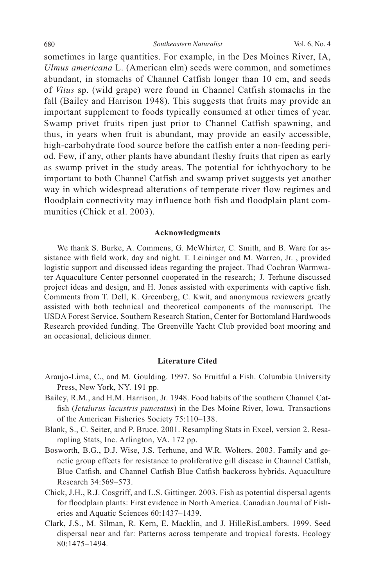sometimes in large quantities. For example, in the Des Moines River, IA, *Ulmus americana* L. (American elm) seeds were common, and sometimes abundant, in stomachs of Channel Catfish longer than 10 cm, and seeds of *Vitus* sp. (wild grape) were found in Channel Catfish stomachs in the fall (Bailey and Harrison 1948). This suggests that fruits may provide an important supplement to foods typically consumed at other times of year. Swamp privet fruits ripen just prior to Channel Catfish spawning, and thus, in years when fruit is abundant, may provide an easily accessible, high-carbohydrate food source before the catfish enter a non-feeding period. Few, if any, other plants have abundant fleshy fruits that ripen as early as swamp privet in the study areas. The potential for ichthyochory to be important to both Channel Catfish and swamp privet suggests yet another way in which widespread alterations of temperate river flow regimes and floodplain connectivity may influence both fish and floodplain plant communities (Chick et al. 2003).

#### **Acknowledgments**

 We thank S. Burke, A. Commens, G. McWhirter, C. Smith, and B. Ware for assistance with field work, day and night. T. Leininger and M. Warren, Jr., provided logistic support and discussed ideas regarding the project. Thad Cochran Warmwater Aquaculture Center personnel cooperated in the research; J. Terhune discussed project ideas and design, and H. Jones assisted with experiments with captive fish. Comments from T. Dell, K. Greenberg, C. Kwit, and anonymous reviewers greatly assisted with both technical and theoretical components of the manuscript. The USDA Forest Service, Southern Research Station, Center for Bottomland Hardwoods Research provided funding. The Greenville Yacht Club provided boat mooring and an occasional, delicious dinner.

#### **Literature Cited**

- Araujo-Lima, C., and M. Goulding. 1997. So Fruitful a Fish. Columbia University Press, New York, NY. 191 pp.
- Bailey, R.M., and H.M. Harrison, Jr. 1948. Food habits of the southern Channel Catfish (*Ictalurus lacustris punctatus*) in the Des Moine River, Iowa. Transactions of the American Fisheries Society 75:110–138.
- Blank, S., C. Seiter, and P. Bruce. 2001. Resampling Stats in Excel, version 2. Resampling Stats, Inc. Arlington, VA. 172 pp.
- Bosworth, B.G., D.J. Wise, J.S. Terhune, and W.R. Wolters. 2003. Family and genetic group effects for resistance to proliferative gill disease in Channel Catfish, Blue Catfish, and Channel Catfish Blue Catfish backcross hybrids. Aquaculture Research 34:569–573.
- Chick, J.H., R.J. Cosgriff, and L.S. Gittinger. 2003. Fish as potential dispersal agents for floodplain plants: First evidence in North America. Canadian Journal of Fisheries and Aquatic Sciences 60:1437–1439.
- Clark, J.S., M. Silman, R. Kern, E. Macklin, and J. HilleRisLambers. 1999. Seed dispersal near and far: Patterns across temperate and tropical forests. Ecology 80:1475–1494.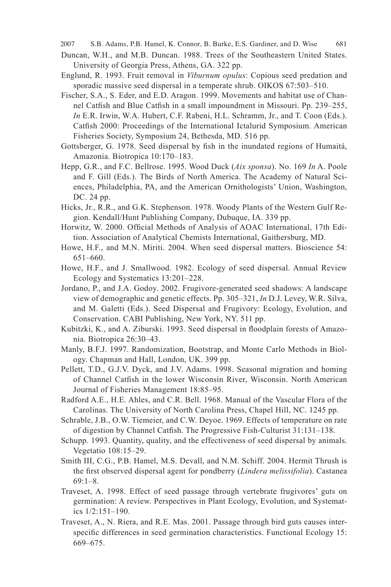2007 S.B. Adams, P.B. Hamel, K. Connor, B. Burke, E.S. Gardiner, and D. Wise 681

- Duncan, W.H., and M.B. Duncan. 1988. Trees of the Southeastern United States. University of Georgia Press, Athens, GA. 322 pp.
- Englund, R. 1993. Fruit removal in *Viburnum opulus*: Copious seed predation and sporadic massive seed dispersal in a temperate shrub. OIKOS 67:503–510.
- Fischer, S.A., S. Eder, and E.D. Aragon. 1999. Movements and habitat use of Channel Catfish and Blue Catfish in a small impoundment in Missouri. Pp. 239–255, *In* E.R. Irwin, W.A. Hubert, C.F. Rabeni, H.L. Schramm, Jr., and T. Coon (Eds.). Catfish 2000: Proceedings of the International Ictalurid Symposium. American Fisheries Society, Symposium 24, Bethesda, MD. 516 pp.
- Gottsberger, G. 1978. Seed dispersal by fish in the inundated regions of Humaitá, Amazonia. Biotropica 10:170–183.
- Hepp, G.R., and F.C. Bellrose. 1995. Wood Duck (*Aix sponsa*). No. 169 *In* A. Poole and F. Gill (Eds.). The Birds of North America. The Academy of Natural Sciences, Philadelphia, PA, and the American Ornithologists' Union, Washington, DC. 24 pp.
- Hicks, Jr., R.R., and G.K. Stephenson. 1978. Woody Plants of the Western Gulf Region. Kendall/Hunt Publishing Company, Dubuque, IA. 339 pp.
- Horwitz, W. 2000. Official Methods of Analysis of AOAC International, 17th Edition. Association of Analytical Chemists International, Gaithersburg, MD.
- Howe, H.F., and M.N. Miriti. 2004. When seed dispersal matters. Bioscience 54: 651–660.
- Howe, H.F., and J. Smallwood. 1982. Ecology of seed dispersal. Annual Review Ecology and Systematics 13:201–228.
- Jordano, P., and J.A. Godoy. 2002. Frugivore-generated seed shadows: A landscape view of demographic and genetic effects. Pp. 305–321, *In* D.J. Levey, W.R. Silva, and M. Galetti (Eds.). Seed Dispersal and Frugivory: Ecology, Evolution, and Conservation. CABI Publishing, New York, NY. 511 pp.
- Kubitzki, K., and A. Ziburski. 1993. Seed dispersal in floodplain forests of Amazonia. Biotropica 26:30–43.
- Manly, B.F.J. 1997. Randomization, Bootstrap, and Monte Carlo Methods in Biology. Chapman and Hall, London, UK. 399 pp.
- Pellett, T.D., G.J.V. Dyck, and J.V. Adams. 1998. Seasonal migration and homing of Channel Catfish in the lower Wisconsin River, Wisconsin. North American Journal of Fisheries Management 18:85–95.
- Radford A.E., H.E. Ahles, and C.R. Bell. 1968. Manual of the Vascular Flora of the Carolinas. The University of North Carolina Press, Chapel Hill, NC. 1245 pp.
- Schrable, J.B., O.W. Tiemeier, and C.W. Deyoe. 1969. Effects of temperature on rate of digestion by Channel Catfish. The Progressive Fish-Culturist 31:131-138.
- Schupp. 1993. Quantity, quality, and the effectiveness of seed dispersal by animals. Vegetatio 108:15–29.
- Smith III, C.G., P.B. Hamel, M.S. Devall, and N.M. Schiff. 2004. Hermit Thrush is the first observed dispersal agent for pondberry (*Lindera melissifolia*). Castanea 69:1–8.
- Traveset, A. 1998. Effect of seed passage through vertebrate frugivores' guts on germination: A review. Perspectives in Plant Ecology, Evolution, and Systematics 1/2:151–190.
- Traveset, A., N. Riera, and R.E. Mas. 2001. Passage through bird guts causes interspecific differences in seed germination characteristics. Functional Ecology 15: 669–675.